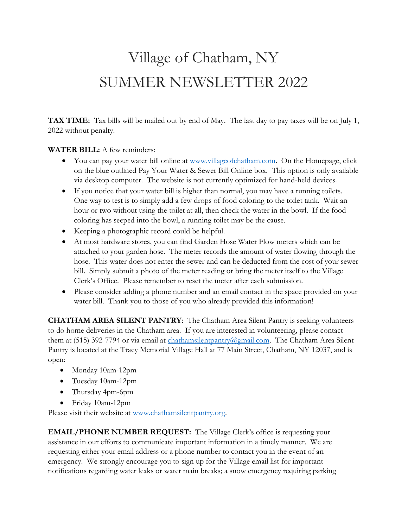## Village of Chatham, NY SUMMER NEWSLETTER 2022

**TAX TIME:** Tax bills will be mailed out by end of May. The last day to pay taxes will be on July 1, 2022 without penalty.

## **WATER BILL:** A few reminders:

- You can pay your water bill online at [www.villageofchatham.com.](http://www.villageofchatham.com/) On the Homepage, click on the blue outlined Pay Your Water & Sewer Bill Online box. This option is only available via desktop computer. The website is not currently optimized for hand-held devices.
- If you notice that your water bill is higher than normal, you may have a running toilets. One way to test is to simply add a few drops of food coloring to the toilet tank. Wait an hour or two without using the toilet at all, then check the water in the bowl. If the food coloring has seeped into the bowl, a running toilet may be the cause.
- Keeping a photographic record could be helpful.
- At most hardware stores, you can find Garden Hose Water Flow meters which can be attached to your garden hose. The meter records the amount of water flowing through the hose. This water does not enter the sewer and can be deducted from the cost of your sewer bill. Simply submit a photo of the meter reading or bring the meter itself to the Village Clerk's Office. Please remember to reset the meter after each submission.
- Please consider adding a phone number and an email contact in the space provided on your water bill. Thank you to those of you who already provided this information!

**CHATHAM AREA SILENT PANTRY**: The Chatham Area Silent Pantry is seeking volunteers to do home deliveries in the Chatham area. If you are interested in volunteering, please contact them at (515) 392-7794 or via email at [chathamsilentpantry@gmail.com.](mailto:chathamsilentpantry@gmail.com) The Chatham Area Silent Pantry is located at the Tracy Memorial Village Hall at 77 Main Street, Chatham, NY 12037, and is open:

- Monday 10am-12pm
- Tuesday 10am-12pm
- Thursday 4pm-6pm
- Friday 10am-12pm

Please visit their website at [www.chathamsilentpantry.org.](http://www.chathamsilentpantry.org/)

**EMAIL/PHONE NUMBER REQUEST:** The Village Clerk's office is requesting your assistance in our efforts to communicate important information in a timely manner. We are requesting either your email address or a phone number to contact you in the event of an emergency. We strongly encourage you to sign up for the Village email list for important notifications regarding water leaks or water main breaks; a snow emergency requiring parking